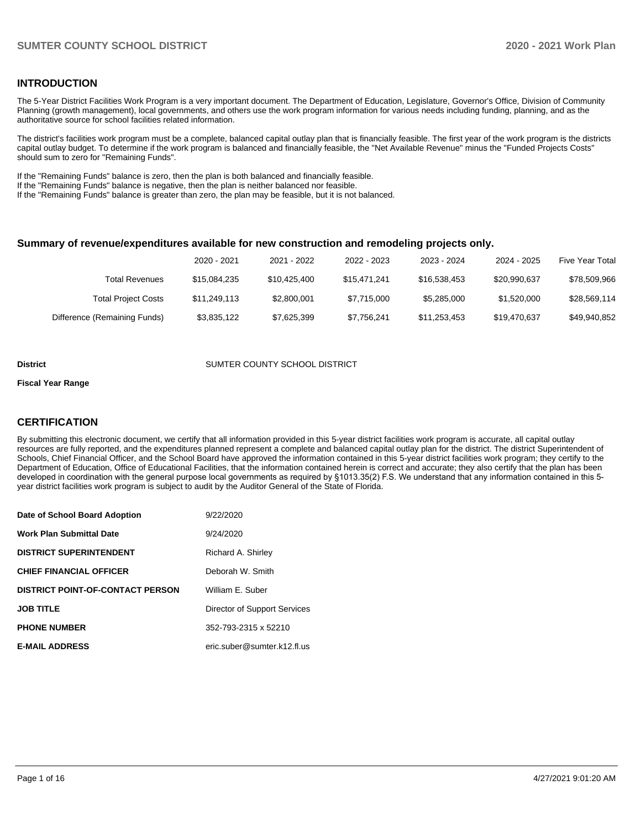### **INTRODUCTION**

The 5-Year District Facilities Work Program is a very important document. The Department of Education, Legislature, Governor's Office, Division of Community Planning (growth management), local governments, and others use the work program information for various needs including funding, planning, and as the authoritative source for school facilities related information.

The district's facilities work program must be a complete, balanced capital outlay plan that is financially feasible. The first year of the work program is the districts capital outlay budget. To determine if the work program is balanced and financially feasible, the "Net Available Revenue" minus the "Funded Projects Costs" should sum to zero for "Remaining Funds".

If the "Remaining Funds" balance is zero, then the plan is both balanced and financially feasible.

If the "Remaining Funds" balance is negative, then the plan is neither balanced nor feasible.

If the "Remaining Funds" balance is greater than zero, the plan may be feasible, but it is not balanced.

#### **Summary of revenue/expenditures available for new construction and remodeling projects only.**

|                              | 2020 - 2021  | 2021 - 2022  | 2022 - 2023  | 2023 - 2024  | 2024 - 2025  | <b>Five Year Total</b> |
|------------------------------|--------------|--------------|--------------|--------------|--------------|------------------------|
| Total Revenues               | \$15,084,235 | \$10,425,400 | \$15.471.241 | \$16.538.453 | \$20.990.637 | \$78,509,966           |
| <b>Total Project Costs</b>   | \$11.249.113 | \$2,800,001  | \$7.715.000  | \$5,285,000  | \$1,520,000  | \$28.569.114           |
| Difference (Remaining Funds) | \$3,835,122  | \$7,625,399  | \$7,756,241  | \$11,253,453 | \$19.470.637 | \$49,940,852           |

#### **District COUNTER COUNTY SCHOOL DISTRICT**

#### **Fiscal Year Range**

# **CERTIFICATION**

By submitting this electronic document, we certify that all information provided in this 5-year district facilities work program is accurate, all capital outlay resources are fully reported, and the expenditures planned represent a complete and balanced capital outlay plan for the district. The district Superintendent of Schools, Chief Financial Officer, and the School Board have approved the information contained in this 5-year district facilities work program; they certify to the Department of Education, Office of Educational Facilities, that the information contained herein is correct and accurate; they also certify that the plan has been developed in coordination with the general purpose local governments as required by §1013.35(2) F.S. We understand that any information contained in this 5 year district facilities work program is subject to audit by the Auditor General of the State of Florida.

| Date of School Board Adoption           | 9/22/2020                    |
|-----------------------------------------|------------------------------|
| Work Plan Submittal Date                | 9/24/2020                    |
| <b>DISTRICT SUPERINTENDENT</b>          | Richard A. Shirley           |
| <b>CHIEF FINANCIAL OFFICER</b>          | Deborah W. Smith             |
| <b>DISTRICT POINT-OF-CONTACT PERSON</b> | William E. Suber             |
| JOB TITLE                               | Director of Support Services |
| <b>PHONE NUMBER</b>                     | 352-793-2315 x 52210         |
| <b>E-MAIL ADDRESS</b>                   | eric.suber@sumter.k12.fl.us  |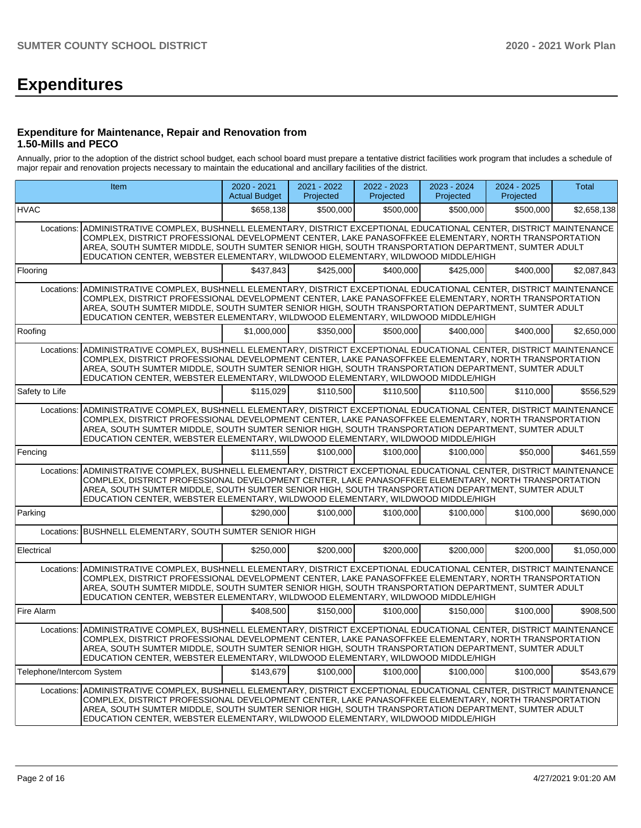# **Expenditures**

### **Expenditure for Maintenance, Repair and Renovation from 1.50-Mills and PECO**

Annually, prior to the adoption of the district school budget, each school board must prepare a tentative district facilities work program that includes a schedule of major repair and renovation projects necessary to maintain the educational and ancillary facilities of the district.

| Item                      |                                                                                                                                                                                                                                                                                                                                                                                                                          | $2020 - 2021$<br><b>Actual Budget</b> | 2021 - 2022<br>Projected | 2022 - 2023<br>Projected | 2023 - 2024<br>Projected | 2024 - 2025<br>Projected | Total       |
|---------------------------|--------------------------------------------------------------------------------------------------------------------------------------------------------------------------------------------------------------------------------------------------------------------------------------------------------------------------------------------------------------------------------------------------------------------------|---------------------------------------|--------------------------|--------------------------|--------------------------|--------------------------|-------------|
| <b>HVAC</b>               |                                                                                                                                                                                                                                                                                                                                                                                                                          | \$658,138                             | \$500,000                | \$500,000                | \$500,000                | \$500,000                | \$2,658,138 |
|                           | Locations: ADMINISTRATIVE COMPLEX, BUSHNELL ELEMENTARY, DISTRICT EXCEPTIONAL EDUCATIONAL CENTER, DISTRICT MAINTENANCE<br>COMPLEX, DISTRICT PROFESSIONAL DEVELOPMENT CENTER, LAKE PANASOFFKEE ELEMENTARY, NORTH TRANSPORTATION<br>AREA, SOUTH SUMTER MIDDLE, SOUTH SUMTER SENIOR HIGH, SOUTH TRANSPORTATION DEPARTMENT, SUMTER ADULT<br>EDUCATION CENTER, WEBSTER ELEMENTARY, WILDWOOD ELEMENTARY, WILDWOOD MIDDLE/HIGH   |                                       |                          |                          |                          |                          |             |
| Flooring                  |                                                                                                                                                                                                                                                                                                                                                                                                                          | \$437.843                             | \$425.000                | \$400.000                | \$425.000                | \$400,000                | \$2,087,843 |
| Locations:                | ADMINISTRATIVE COMPLEX, BUSHNELL ELEMENTARY, DISTRICT EXCEPTIONAL EDUCATIONAL CENTER, DISTRICT MAINTENANCE<br>COMPLEX, DISTRICT PROFESSIONAL DEVELOPMENT CENTER, LAKE PANASOFFKEE ELEMENTARY, NORTH TRANSPORTATION<br>AREA, SOUTH SUMTER MIDDLE, SOUTH SUMTER SENIOR HIGH, SOUTH TRANSPORTATION DEPARTMENT, SUMTER ADULT<br>EDUCATION CENTER, WEBSTER ELEMENTARY, WILDWOOD ELEMENTARY, WILDWOOD MIDDLE/HIGH              |                                       |                          |                          |                          |                          |             |
| Roofing                   |                                                                                                                                                                                                                                                                                                                                                                                                                          | \$1,000,000                           | \$350.000                | \$500,000                | \$400,000                | \$400,000                | \$2,650,000 |
| Locations:                | ADMINISTRATIVE COMPLEX, BUSHNELL ELEMENTARY, DISTRICT EXCEPTIONAL EDUCATIONAL CENTER, DISTRICT MAINTENANCE<br>COMPLEX, DISTRICT PROFESSIONAL DEVELOPMENT CENTER, LAKE PANASOFFKEE ELEMENTARY, NORTH TRANSPORTATION<br>AREA, SOUTH SUMTER MIDDLE, SOUTH SUMTER SENIOR HIGH, SOUTH TRANSPORTATION DEPARTMENT, SUMTER ADULT<br>EDUCATION CENTER, WEBSTER ELEMENTARY, WILDWOOD ELEMENTARY, WILDWOOD MIDDLE/HIGH              |                                       |                          |                          |                          |                          |             |
| Safety to Life            |                                                                                                                                                                                                                                                                                                                                                                                                                          | \$115.029                             | \$110,500                | \$110,500                | \$110.500                | \$110,000                | \$556,529   |
| Locations:                | ADMINISTRATIVE COMPLEX, BUSHNELL ELEMENTARY, DISTRICT EXCEPTIONAL EDUCATIONAL CENTER, DISTRICT MAINTENANCE<br>COMPLEX, DISTRICT PROFESSIONAL DEVELOPMENT CENTER, LAKE PANASOFFKEE ELEMENTARY, NORTH TRANSPORTATION<br>AREA, SOUTH SUMTER MIDDLE, SOUTH SUMTER SENIOR HIGH, SOUTH TRANSPORTATION DEPARTMENT, SUMTER ADULT<br>EDUCATION CENTER, WEBSTER ELEMENTARY, WILDWOOD ELEMENTARY, WILDWOOD MIDDLE/HIGH              |                                       |                          |                          |                          |                          |             |
| Fencing                   |                                                                                                                                                                                                                                                                                                                                                                                                                          | \$111,559                             | \$100,000                | \$100.000                | \$100.000                | \$50,000                 | \$461,559   |
| Locations:                | ADMINISTRATIVE COMPLEX, BUSHNELL ELEMENTARY, DISTRICT EXCEPTIONAL EDUCATIONAL CENTER, DISTRICT MAINTENANCE<br>COMPLEX, DISTRICT PROFESSIONAL DEVELOPMENT CENTER, LAKE PANASOFFKEE ELEMENTARY, NORTH TRANSPORTATION<br>AREA, SOUTH SUMTER MIDDLE, SOUTH SUMTER SENIOR HIGH, SOUTH TRANSPORTATION DEPARTMENT, SUMTER ADULT<br>EDUCATION CENTER, WEBSTER ELEMENTARY, WILDWOOD ELEMENTARY, WILDWOOD MIDDLE/HIGH              |                                       |                          |                          |                          |                          |             |
| Parking                   |                                                                                                                                                                                                                                                                                                                                                                                                                          | \$290,000                             | \$100,000                | \$100,000                | \$100,000                | \$100,000                | \$690,000   |
| Locations:                | BUSHNELL ELEMENTARY, SOUTH SUMTER SENIOR HIGH                                                                                                                                                                                                                                                                                                                                                                            |                                       |                          |                          |                          |                          |             |
| Electrical                |                                                                                                                                                                                                                                                                                                                                                                                                                          | \$250,000                             | \$200,000                | \$200,000                | \$200,000                | \$200,000                | \$1,050,000 |
|                           | Locations: ADMINISTRATIVE COMPLEX, BUSHNELL ELEMENTARY, DISTRICT EXCEPTIONAL EDUCATIONAL CENTER, DISTRICT MAINTENANCE<br>COMPLEX, DISTRICT PROFESSIONAL DEVELOPMENT CENTER, LAKE PANASOFFKEE ELEMENTARY, NORTH TRANSPORTATION<br>AREA, SOUTH SUMTER MIDDLE, SOUTH SUMTER SENIOR HIGH, SOUTH TRANSPORTATION DEPARTMENT, SUMTER ADULT<br>EDUCATION CENTER, WEBSTER ELEMENTARY, WILDWOOD ELEMENTARY, WILDWOOD MIDDLE/HIGH   |                                       |                          |                          |                          |                          |             |
| Fire Alarm                |                                                                                                                                                                                                                                                                                                                                                                                                                          | \$408,500                             | \$150,000                | \$100,000                | \$150,000                | \$100,000                | \$908,500   |
|                           | Locations:   ADMINISTRATIVE COMPLEX, BUSHNELL ELEMENTARY, DISTRICT EXCEPTIONAL EDUCATIONAL CENTER, DISTRICT MAINTENANCE<br>COMPLEX, DISTRICT PROFESSIONAL DEVELOPMENT CENTER, LAKE PANASOFFKEE ELEMENTARY, NORTH TRANSPORTATION<br>AREA, SOUTH SUMTER MIDDLE, SOUTH SUMTER SENIOR HIGH, SOUTH TRANSPORTATION DEPARTMENT, SUMTER ADULT<br>EDUCATION CENTER, WEBSTER ELEMENTARY, WILDWOOD ELEMENTARY, WILDWOOD MIDDLE/HIGH |                                       |                          |                          |                          |                          |             |
| Telephone/Intercom System |                                                                                                                                                                                                                                                                                                                                                                                                                          | \$143,679                             | \$100,000                | \$100,000                | \$100,000                | \$100,000                | \$543,679   |
|                           | Locations: ADMINISTRATIVE COMPLEX, BUSHNELL ELEMENTARY, DISTRICT EXCEPTIONAL EDUCATIONAL CENTER, DISTRICT MAINTENANCE<br>COMPLEX, DISTRICT PROFESSIONAL DEVELOPMENT CENTER, LAKE PANASOFFKEE ELEMENTARY, NORTH TRANSPORTATION<br>AREA, SOUTH SUMTER MIDDLE, SOUTH SUMTER SENIOR HIGH, SOUTH TRANSPORTATION DEPARTMENT, SUMTER ADULT<br>EDUCATION CENTER, WEBSTER ELEMENTARY, WILDWOOD ELEMENTARY, WILDWOOD MIDDLE/HIGH   |                                       |                          |                          |                          |                          |             |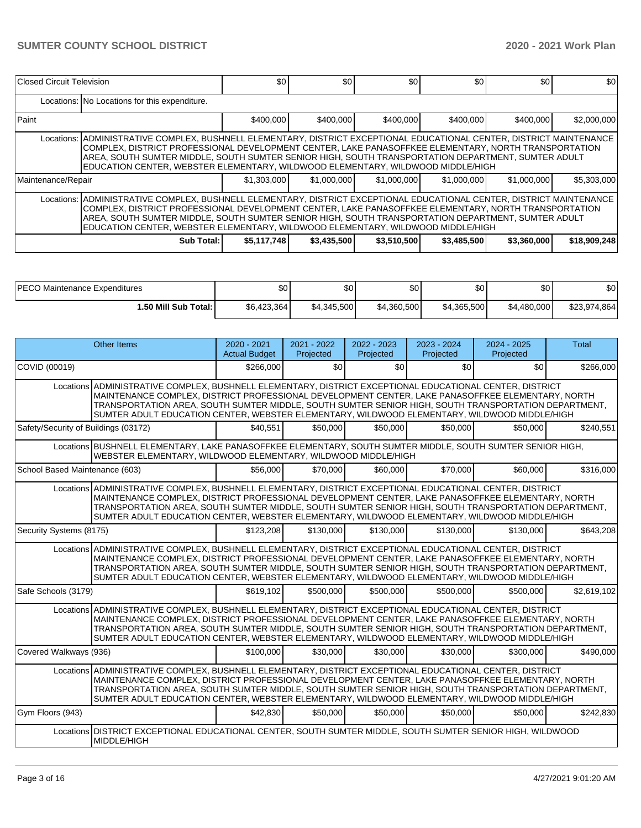| Closed Circuit Television                                                                                                                                                                                                                                                                                                                                                                                               |                                                                                                                                                                                                                                                                                                                                                                                                                         | \$0         | \$0         | \$0         | \$0         | \$0         | <b>\$01</b>  |  |  |  |  |  |
|-------------------------------------------------------------------------------------------------------------------------------------------------------------------------------------------------------------------------------------------------------------------------------------------------------------------------------------------------------------------------------------------------------------------------|-------------------------------------------------------------------------------------------------------------------------------------------------------------------------------------------------------------------------------------------------------------------------------------------------------------------------------------------------------------------------------------------------------------------------|-------------|-------------|-------------|-------------|-------------|--------------|--|--|--|--|--|
|                                                                                                                                                                                                                                                                                                                                                                                                                         | Locations: No Locations for this expenditure.                                                                                                                                                                                                                                                                                                                                                                           |             |             |             |             |             |              |  |  |  |  |  |
| Paint                                                                                                                                                                                                                                                                                                                                                                                                                   |                                                                                                                                                                                                                                                                                                                                                                                                                         | \$400,000   | \$400,000   | \$400,000   | \$400.000   | \$400,000   | \$2,000,000  |  |  |  |  |  |
|                                                                                                                                                                                                                                                                                                                                                                                                                         | Locations: ADMINISTRATIVE COMPLEX, BUSHNELL ELEMENTARY, DISTRICT EXCEPTIONAL EDUCATIONAL CENTER, DISTRICT MAINTENANCE<br>COMPLEX, DISTRICT PROFESSIONAL DEVELOPMENT CENTER, LAKE PANASOFFKEE ELEMENTARY, NORTH TRANSPORTATION<br>AREA, SOUTH SUMTER MIDDLE, SOUTH SUMTER SENIOR HIGH, SOUTH TRANSPORTATION DEPARTMENT, SUMTER ADULT<br>IEDUCATION CENTER. WEBSTER ELEMENTARY. WILDWOOD ELEMENTARY. WILDWOOD MIDDLE/HIGH |             |             |             |             |             |              |  |  |  |  |  |
| Maintenance/Repair                                                                                                                                                                                                                                                                                                                                                                                                      |                                                                                                                                                                                                                                                                                                                                                                                                                         | \$1,303,000 | \$1,000,000 | \$1,000,000 | \$1,000,000 | \$1,000,000 | \$5,303,000  |  |  |  |  |  |
| Locations:  ADMINISTRATIVE COMPLEX, BUSHNELL ELEMENTARY, DISTRICT EXCEPTIONAL EDUCATIONAL CENTER, DISTRICT MAINTENANCE<br>COMPLEX. DISTRICT PROFESSIONAL DEVELOPMENT CENTER. LAKE PANASOFFKEE ELEMENTARY. NORTH TRANSPORTATION<br>AREA, SOUTH SUMTER MIDDLE, SOUTH SUMTER SENIOR HIGH, SOUTH TRANSPORTATION DEPARTMENT, SUMTER ADULT<br>EDUCATION CENTER, WEBSTER ELEMENTARY, WILDWOOD ELEMENTARY, WILDWOOD MIDDLE/HIGH |                                                                                                                                                                                                                                                                                                                                                                                                                         |             |             |             |             |             |              |  |  |  |  |  |
|                                                                                                                                                                                                                                                                                                                                                                                                                         | Sub Total:                                                                                                                                                                                                                                                                                                                                                                                                              | \$5,117,748 | \$3,435,500 | \$3,510,500 | \$3,485,500 | \$3,360,000 | \$18,909,248 |  |  |  |  |  |

| <b>IPECO Maintenance Expenditures</b> | \$0         | ሖጣ<br>Ψ∪    | \$0         | \$0         | \$0         | \$0          |
|---------------------------------------|-------------|-------------|-------------|-------------|-------------|--------------|
| 1.50 Mill Sub Total: I                | \$6,423,364 | \$4,345,500 | \$4,360,500 | \$4,365,500 | \$4,480,000 | \$23,974,864 |

|                                      | Other Items                                                                                                                                                                                                                                                                                                                                                                                                           | $2020 - 2021$<br><b>Actual Budget</b> | $2021 - 2022$<br>Projected | 2022 - 2023<br>Projected | $2023 - 2024$<br>Projected | $2024 - 2025$<br>Projected | <b>Total</b> |
|--------------------------------------|-----------------------------------------------------------------------------------------------------------------------------------------------------------------------------------------------------------------------------------------------------------------------------------------------------------------------------------------------------------------------------------------------------------------------|---------------------------------------|----------------------------|--------------------------|----------------------------|----------------------------|--------------|
| COVID (00019)                        |                                                                                                                                                                                                                                                                                                                                                                                                                       | \$266,000                             | \$0                        | \$0                      | \$0                        | \$0                        | \$266,000    |
|                                      | Locations ADMINISTRATIVE COMPLEX, BUSHNELL ELEMENTARY, DISTRICT EXCEPTIONAL EDUCATIONAL CENTER, DISTRICT<br>MAINTENANCE COMPLEX, DISTRICT PROFESSIONAL DEVELOPMENT CENTER, LAKE PANASOFFKEE ELEMENTARY, NORTH<br>TRANSPORTATION AREA, SOUTH SUMTER MIDDLE, SOUTH SUMTER SENIOR HIGH, SOUTH TRANSPORTATION DEPARTMENT,<br>SUMTER ADULT EDUCATION CENTER, WEBSTER ELEMENTARY, WILDWOOD ELEMENTARY, WILDWOOD MIDDLE/HIGH |                                       |                            |                          |                            |                            |              |
| Safety/Security of Buildings (03172) |                                                                                                                                                                                                                                                                                                                                                                                                                       | \$40.551                              | \$50,000                   | \$50,000                 | \$50,000                   | \$50,000                   | \$240,551    |
|                                      | Locations BUSHNELL ELEMENTARY, LAKE PANASOFFKEE ELEMENTARY, SOUTH SUMTER MIDDLE, SOUTH SUMTER SENIOR HIGH,<br>WEBSTER ELEMENTARY, WILDWOOD ELEMENTARY, WILDWOOD MIDDLE/HIGH                                                                                                                                                                                                                                           |                                       |                            |                          |                            |                            |              |
| School Based Maintenance (603)       |                                                                                                                                                                                                                                                                                                                                                                                                                       | \$56,000                              | \$70,000                   | \$60,000                 | \$70,000                   | \$60,000                   | \$316,000    |
|                                      | Locations ADMINISTRATIVE COMPLEX, BUSHNELL ELEMENTARY, DISTRICT EXCEPTIONAL EDUCATIONAL CENTER, DISTRICT<br>MAINTENANCE COMPLEX, DISTRICT PROFESSIONAL DEVELOPMENT CENTER, LAKE PANASOFFKEE ELEMENTARY, NORTH<br>TRANSPORTATION AREA, SOUTH SUMTER MIDDLE, SOUTH SUMTER SENIOR HIGH, SOUTH TRANSPORTATION DEPARTMENT,<br>SUMTER ADULT EDUCATION CENTER, WEBSTER ELEMENTARY, WILDWOOD ELEMENTARY, WILDWOOD MIDDLE/HIGH |                                       |                            |                          |                            |                            |              |
| Security Systems (8175)              |                                                                                                                                                                                                                                                                                                                                                                                                                       | \$123.208                             | \$130,000                  | \$130,000                | \$130,000                  | \$130,000                  | \$643,208    |
|                                      | Locations ADMINISTRATIVE COMPLEX, BUSHNELL ELEMENTARY, DISTRICT EXCEPTIONAL EDUCATIONAL CENTER, DISTRICT<br>MAINTENANCE COMPLEX, DISTRICT PROFESSIONAL DEVELOPMENT CENTER, LAKE PANASOFFKEE ELEMENTARY, NORTH<br>TRANSPORTATION AREA, SOUTH SUMTER MIDDLE, SOUTH SUMTER SENIOR HIGH, SOUTH TRANSPORTATION DEPARTMENT,<br>SUMTER ADULT EDUCATION CENTER, WEBSTER ELEMENTARY, WILDWOOD ELEMENTARY, WILDWOOD MIDDLE/HIGH |                                       |                            |                          |                            |                            |              |
| Safe Schools (3179)                  |                                                                                                                                                                                                                                                                                                                                                                                                                       | \$619.102                             | \$500,000                  | \$500,000                | \$500,000                  | \$500,000                  | \$2,619,102  |
|                                      | Locations ADMINISTRATIVE COMPLEX, BUSHNELL ELEMENTARY, DISTRICT EXCEPTIONAL EDUCATIONAL CENTER, DISTRICT<br>MAINTENANCE COMPLEX, DISTRICT PROFESSIONAL DEVELOPMENT CENTER, LAKE PANASOFFKEE ELEMENTARY, NORTH<br>TRANSPORTATION AREA, SOUTH SUMTER MIDDLE, SOUTH SUMTER SENIOR HIGH, SOUTH TRANSPORTATION DEPARTMENT,<br>SUMTER ADULT EDUCATION CENTER, WEBSTER ELEMENTARY, WILDWOOD ELEMENTARY, WILDWOOD MIDDLE/HIGH |                                       |                            |                          |                            |                            |              |
| Covered Walkways (936)               |                                                                                                                                                                                                                                                                                                                                                                                                                       | \$100,000                             | \$30,000                   | \$30,000                 | \$30,000                   | \$300,000                  | \$490,000    |
|                                      | Locations ADMINISTRATIVE COMPLEX, BUSHNELL ELEMENTARY, DISTRICT EXCEPTIONAL EDUCATIONAL CENTER, DISTRICT<br>MAINTENANCE COMPLEX, DISTRICT PROFESSIONAL DEVELOPMENT CENTER, LAKE PANASOFFKEE ELEMENTARY, NORTH<br>TRANSPORTATION AREA, SOUTH SUMTER MIDDLE, SOUTH SUMTER SENIOR HIGH, SOUTH TRANSPORTATION DEPARTMENT,<br>SUMTER ADULT EDUCATION CENTER, WEBSTER ELEMENTARY, WILDWOOD ELEMENTARY, WILDWOOD MIDDLE/HIGH |                                       |                            |                          |                            |                            |              |
| Gym Floors (943)                     |                                                                                                                                                                                                                                                                                                                                                                                                                       | \$42,830                              | \$50,000                   | \$50,000                 | \$50,000                   | \$50,000                   | \$242,830    |
|                                      | Locations DISTRICT EXCEPTIONAL EDUCATIONAL CENTER, SOUTH SUMTER MIDDLE, SOUTH SUMTER SENIOR HIGH, WILDWOOD<br>MIDDLE/HIGH                                                                                                                                                                                                                                                                                             |                                       |                            |                          |                            |                            |              |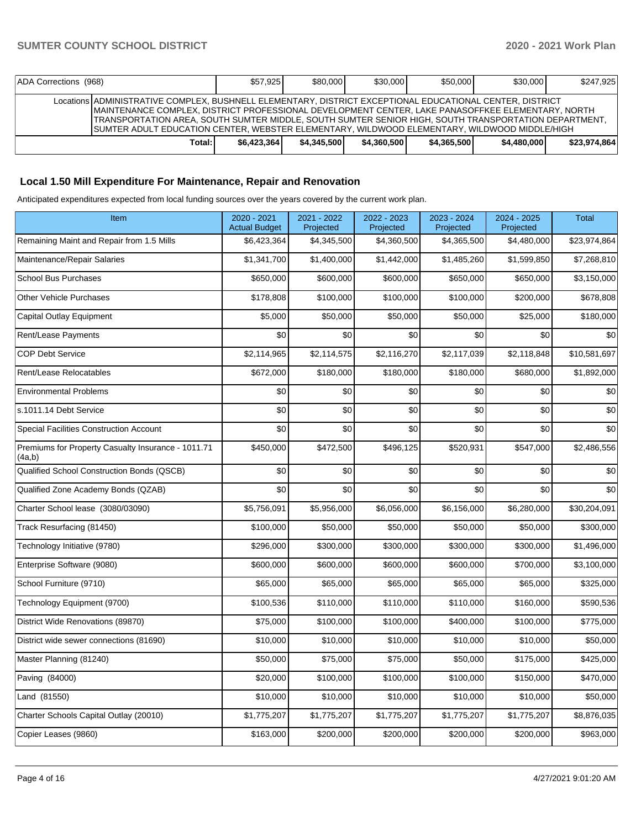| ADA Corrections (968) |                                                                                                                                                                                                                                                                                                                                                                                                                          | \$57.925     | \$80,000    | \$30,000    | \$50,000    | \$30,000    | \$247.925    |
|-----------------------|--------------------------------------------------------------------------------------------------------------------------------------------------------------------------------------------------------------------------------------------------------------------------------------------------------------------------------------------------------------------------------------------------------------------------|--------------|-------------|-------------|-------------|-------------|--------------|
|                       | Locations ADMINISTRATIVE COMPLEX, BUSHNELL ELEMENTARY, DISTRICT EXCEPTIONAL EDUCATIONAL CENTER, DISTRICT<br>MAINTENANCE COMPLEX, DISTRICT PROFESSIONAL DEVELOPMENT CENTER, LAKE PANASOFFKEE ELEMENTARY, NORTH<br>, TRANSPORTATION AREA, SOUTH SUMTER MIDDLE, SOUTH SUMTER SENIOR HIGH, SOUTH TRANSPORTATION DEPARTMENT <br>ISUMTER ADULT EDUCATION CENTER. WEBSTER ELEMENTARY. WILDWOOD ELEMENTARY. WILDWOOD MIDDLE/HIGH |              |             |             |             |             |              |
|                       | Total: I                                                                                                                                                                                                                                                                                                                                                                                                                 | \$6,423,364] | \$4.345.500 | \$4.360.500 | \$4,365,500 | \$4,480,000 | \$23,974,864 |

# **Local 1.50 Mill Expenditure For Maintenance, Repair and Renovation**

Anticipated expenditures expected from local funding sources over the years covered by the current work plan.

| Item                                                         | 2020 - 2021<br><b>Actual Budget</b> | 2021 - 2022<br>Projected | 2022 - 2023<br>Projected | 2023 - 2024<br>Projected | 2024 - 2025<br>Projected | <b>Total</b> |
|--------------------------------------------------------------|-------------------------------------|--------------------------|--------------------------|--------------------------|--------------------------|--------------|
| Remaining Maint and Repair from 1.5 Mills                    | \$6,423,364                         | \$4,345,500              | \$4,360,500              | \$4,365,500              | \$4,480,000              | \$23,974,864 |
| Maintenance/Repair Salaries                                  | \$1,341,700                         | \$1,400,000              | \$1,442,000              | \$1,485,260              | \$1,599,850              | \$7,268,810  |
| <b>School Bus Purchases</b>                                  | \$650,000                           | \$600,000                | \$600,000                | \$650,000                | \$650,000                | \$3,150,000  |
| <b>Other Vehicle Purchases</b>                               | \$178,808                           | \$100,000                | \$100,000                | \$100,000                | \$200,000                | \$678,808    |
| Capital Outlay Equipment                                     | \$5,000                             | \$50,000                 | \$50,000                 | \$50,000                 | \$25,000                 | \$180,000    |
| Rent/Lease Payments                                          | \$0                                 | \$0                      | \$0                      | \$0                      | \$0                      | \$0          |
| <b>COP Debt Service</b>                                      | \$2,114,965                         | \$2,114,575              | \$2,116,270              | \$2,117,039              | \$2,118,848              | \$10,581,697 |
| Rent/Lease Relocatables                                      | \$672,000                           | \$180,000                | \$180,000                | \$180,000                | \$680,000                | \$1,892,000  |
| <b>Environmental Problems</b>                                | \$0                                 | \$0                      | \$0                      | \$0                      | \$0                      | \$0          |
| s.1011.14 Debt Service                                       | \$0                                 | \$0                      | \$0                      | \$0                      | \$0                      | \$0          |
| <b>Special Facilities Construction Account</b>               | \$0                                 | \$0                      | \$0                      | \$0                      | \$0                      | \$0          |
| Premiums for Property Casualty Insurance - 1011.71<br>(4a,b) | \$450,000                           | \$472,500                | \$496,125                | \$520,931                | \$547,000                | \$2,486,556  |
| Qualified School Construction Bonds (QSCB)                   | \$0                                 | \$0                      | \$0                      | \$0                      | \$0                      | \$0          |
| Qualified Zone Academy Bonds (QZAB)                          | \$0                                 | \$0                      | \$0                      | \$0                      | \$0                      | \$0          |
| Charter School lease (3080/03090)                            | \$5,756,091                         | \$5,956,000              | \$6,056,000              | \$6,156,000              | \$6,280,000              | \$30,204,091 |
| Track Resurfacing (81450)                                    | \$100,000                           | \$50,000                 | \$50,000                 | \$50,000                 | \$50,000                 | \$300,000    |
| Technology Initiative (9780)                                 | \$296,000                           | \$300,000                | \$300,000                | \$300,000                | \$300,000                | \$1,496,000  |
| Enterprise Software (9080)                                   | \$600,000                           | \$600,000                | \$600,000                | \$600,000                | \$700,000                | \$3,100,000  |
| School Furniture (9710)                                      | \$65,000                            | \$65,000                 | \$65,000                 | \$65,000                 | \$65,000                 | \$325,000    |
| Technology Equipment (9700)                                  | \$100,536                           | \$110,000                | \$110,000                | \$110,000                | \$160,000                | \$590,536    |
| District Wide Renovations (89870)                            | \$75,000                            | \$100,000                | \$100,000                | \$400,000                | \$100,000                | \$775,000    |
| District wide sewer connections (81690)                      | \$10,000                            | \$10,000                 | \$10,000                 | \$10,000                 | \$10,000                 | \$50,000     |
| Master Planning (81240)                                      | \$50,000                            | \$75,000                 | \$75,000                 | \$50,000                 | \$175,000                | \$425,000    |
| Paving (84000)                                               | \$20,000                            | \$100,000                | \$100,000                | \$100,000                | \$150,000                | \$470,000    |
| Land (81550)                                                 | \$10,000                            | \$10,000                 | \$10,000                 | \$10,000                 | \$10,000                 | \$50,000     |
| Charter Schools Capital Outlay (20010)                       | \$1,775,207                         | \$1,775,207              | \$1,775,207              | \$1,775,207              | \$1,775,207              | \$8,876,035  |
| Copier Leases (9860)                                         | \$163,000                           | \$200,000                | \$200,000                | \$200,000                | \$200,000                | \$963,000    |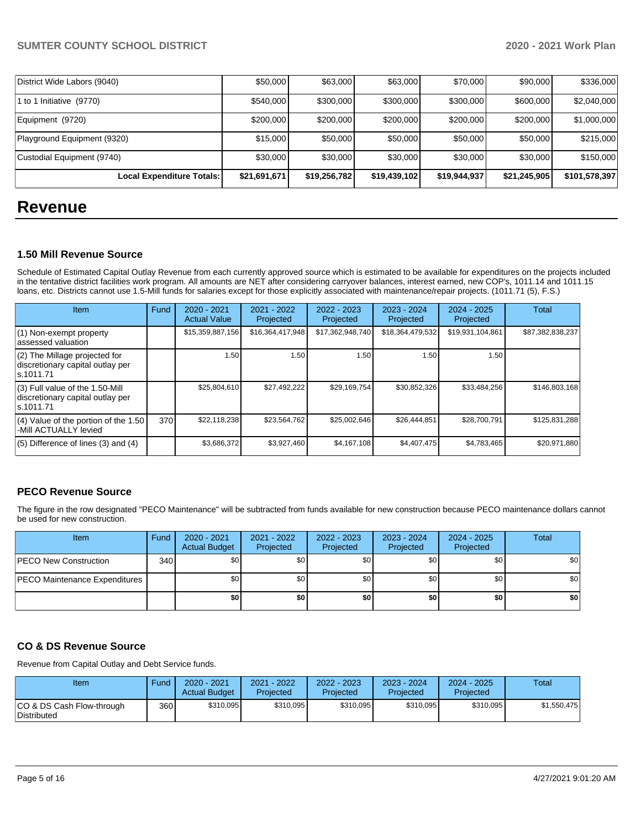| <b>Local Expenditure Totals:</b> | \$21,691,671 | \$19,256,782 | \$19,439,102 | \$19,944,937 | \$21,245,905 | \$101,578,397 |
|----------------------------------|--------------|--------------|--------------|--------------|--------------|---------------|
| Custodial Equipment (9740)       | \$30,000     | \$30,000     | \$30,000     | \$30,000     | \$30,000     | \$150,000     |
| Playground Equipment (9320)      | \$15,000     | \$50,000     | \$50,000     | \$50,000     | \$50,000     | \$215,000     |
| Equipment (9720)                 | \$200,000    | \$200,000    | \$200,000    | \$200,000    | \$200,000    | \$1,000,000   |
| 1 to 1 Initiative (9770)         | \$540,000    | \$300,000    | \$300,000    | \$300,000    | \$600,000    | \$2,040,000   |
| District Wide Labors (9040)      | \$50,000     | \$63,000     | \$63,000     | \$70,000     | \$90,000     | \$336,000     |

# **Revenue**

### **1.50 Mill Revenue Source**

Schedule of Estimated Capital Outlay Revenue from each currently approved source which is estimated to be available for expenditures on the projects included in the tentative district facilities work program. All amounts are NET after considering carryover balances, interest earned, new COP's, 1011.14 and 1011.15 loans, etc. Districts cannot use 1.5-Mill funds for salaries except for those explicitly associated with maintenance/repair projects. (1011.71 (5), F.S.)

| Item                                                                                | Fund | $2020 - 2021$<br><b>Actual Value</b> | $2021 - 2022$<br>Projected | $2022 - 2023$<br>Projected | $2023 - 2024$<br>Projected | $2024 - 2025$<br>Projected | Total            |
|-------------------------------------------------------------------------------------|------|--------------------------------------|----------------------------|----------------------------|----------------------------|----------------------------|------------------|
| (1) Non-exempt property<br>lassessed valuation                                      |      | \$15,359,887,156                     | \$16,364,417,948           | \$17,362,948,740           | \$18,364,479,532           | \$19,931,104,861           | \$87,382,838,237 |
| $(2)$ The Millage projected for<br>discretionary capital outlay per<br>ls.1011.71   |      | 1.50                                 | 1.50                       | 1.50                       | 1.50                       | 1.50                       |                  |
| $(3)$ Full value of the 1.50-Mill<br>discretionary capital outlay per<br>ls.1011.71 |      | \$25,804,610                         | \$27,492,222               | \$29,169,754               | \$30,852,326               | \$33,484,256               | \$146,803,168    |
| $(4)$ Value of the portion of the 1.50<br>-Mill ACTUALLY levied                     | 370  | \$22,118,238                         | \$23,564,762               | \$25,002,646               | \$26,444,851               | \$28,700,791               | \$125,831,288    |
| $(5)$ Difference of lines (3) and (4)                                               |      | \$3,686,372                          | \$3,927,460                | \$4,167,108                | \$4,407,475                | \$4,783,465                | \$20,971,880     |

# **PECO Revenue Source**

The figure in the row designated "PECO Maintenance" will be subtracted from funds available for new construction because PECO maintenance dollars cannot be used for new construction.

| <b>Item</b>                          | Fund         | 2020 - 2021<br><b>Actual Budget</b> | 2021 - 2022<br>Projected | 2022 - 2023<br>Projected | 2023 - 2024<br>Projected | 2024 - 2025<br>Projected | Total |
|--------------------------------------|--------------|-------------------------------------|--------------------------|--------------------------|--------------------------|--------------------------|-------|
| <b>PECO New Construction</b>         | 340 <b>I</b> | \$0                                 | \$0                      | \$0                      | \$0l                     | \$0                      | \$0   |
| <b>PECO Maintenance Expenditures</b> |              | \$0                                 | \$0                      | \$0                      | ا 30                     | \$0                      | \$0   |
|                                      |              | \$0                                 | \$0                      | \$0                      | \$0                      | \$0                      | \$0   |

# **CO & DS Revenue Source**

Revenue from Capital Outlay and Debt Service funds.

| Item                                      | Fund  | 2020 - 2021<br><b>Actual Budget</b> | 2021 - 2022<br>Projected | 2022 - 2023<br>Projected | 2023 - 2024<br>Projected | $2024 - 2025$<br>Projected | Total       |
|-------------------------------------------|-------|-------------------------------------|--------------------------|--------------------------|--------------------------|----------------------------|-------------|
| ICO & DS Cash Flow-through<br>Distributed | 360 l | \$310,095                           | \$310,095                | \$310,095                | \$310.095                | \$310,095                  | \$1.550.475 |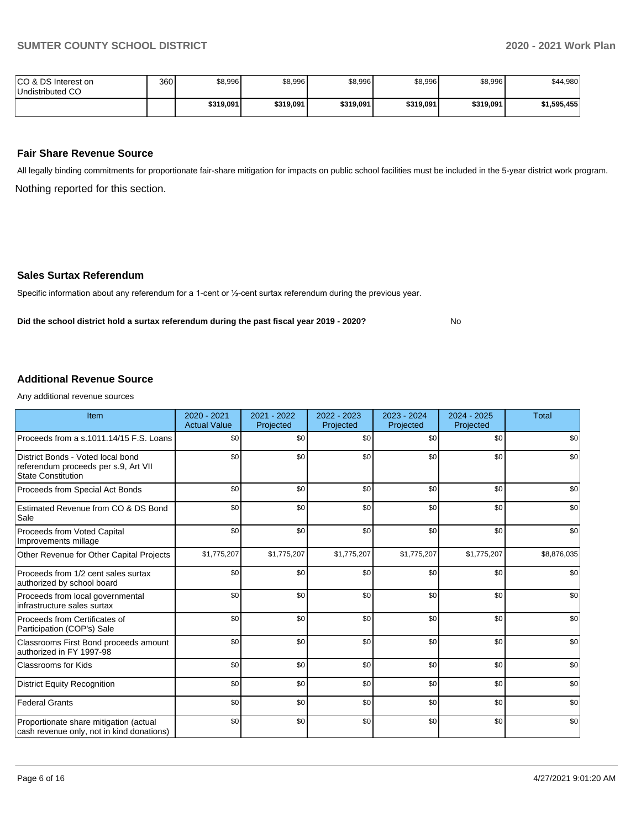No

| ICO & DS Interest on<br>Undistributed CO | 360 | \$8,996   | \$8,996   | \$8,996   | \$8,996   | \$8,996   | \$44,980    |
|------------------------------------------|-----|-----------|-----------|-----------|-----------|-----------|-------------|
|                                          |     | \$319.091 | \$319,091 | \$319,091 | \$319,091 | \$319,091 | \$1.595.455 |

### **Fair Share Revenue Source**

Nothing reported for this section. All legally binding commitments for proportionate fair-share mitigation for impacts on public school facilities must be included in the 5-year district work program.

#### **Sales Surtax Referendum**

Specific information about any referendum for a 1-cent or ½-cent surtax referendum during the previous year.

**Did the school district hold a surtax referendum during the past fiscal year 2019 - 2020?**

## **Additional Revenue Source**

Any additional revenue sources

| Item                                                                                                   | 2020 - 2021<br><b>Actual Value</b> | 2021 - 2022<br>Projected | $2022 - 2023$<br>Projected | 2023 - 2024<br>Projected | 2024 - 2025<br>Projected | <b>Total</b> |
|--------------------------------------------------------------------------------------------------------|------------------------------------|--------------------------|----------------------------|--------------------------|--------------------------|--------------|
| Proceeds from a s.1011.14/15 F.S. Loans                                                                | \$0                                | \$0                      | \$0                        | \$0                      | \$0                      | \$0          |
| District Bonds - Voted local bond<br>referendum proceeds per s.9, Art VII<br><b>State Constitution</b> | \$0                                | \$0                      | \$0                        | \$0                      | \$0                      | \$0          |
| Proceeds from Special Act Bonds                                                                        | \$0                                | \$0                      | \$0                        | \$0                      | \$0                      | \$0          |
| Estimated Revenue from CO & DS Bond<br>Sale                                                            | \$0                                | \$0                      | \$0                        | \$0                      | \$0                      | \$0          |
| Proceeds from Voted Capital<br>Improvements millage                                                    | \$0                                | \$0                      | \$0                        | \$0                      | \$0                      | \$0          |
| Other Revenue for Other Capital Projects                                                               | \$1,775,207                        | \$1,775,207              | \$1,775,207                | \$1,775,207              | \$1,775,207              | \$8,876,035  |
| Proceeds from 1/2 cent sales surtax<br>authorized by school board                                      | \$0                                | \$0                      | \$0                        | \$0                      | \$0                      | \$0          |
| Proceeds from local governmental<br>infrastructure sales surtax                                        | \$0                                | \$0                      | \$0                        | \$0                      | \$0                      | \$0          |
| Proceeds from Certificates of<br>Participation (COP's) Sale                                            | \$0                                | \$0                      | \$0                        | \$0                      | \$0                      | \$0          |
| Classrooms First Bond proceeds amount<br>authorized in FY 1997-98                                      | \$0                                | \$0                      | \$0                        | \$0                      | \$0                      | \$0          |
| <b>Classrooms for Kids</b>                                                                             | \$0                                | \$0                      | \$0                        | \$0                      | \$0                      | \$0          |
| <b>District Equity Recognition</b>                                                                     | \$0                                | \$0                      | \$0                        | \$0                      | \$0                      | \$0          |
| <b>Federal Grants</b>                                                                                  | \$0                                | \$0                      | \$0                        | \$0                      | \$0                      | \$0          |
| Proportionate share mitigation (actual<br>cash revenue only, not in kind donations)                    | \$0                                | \$0                      | \$0                        | \$0                      | \$0                      | \$0          |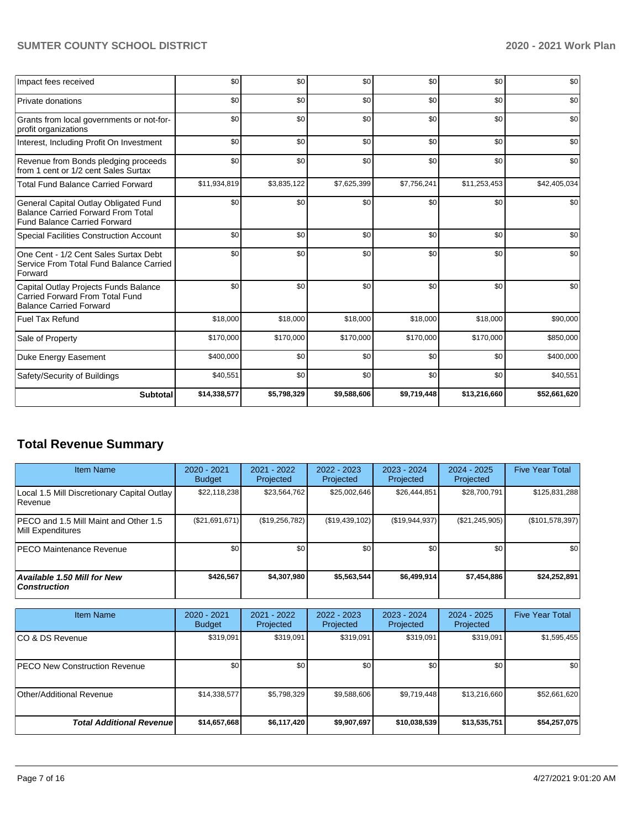# **SUMTER COUNTY SCHOOL DISTRICT 2020 - 2021 Work Plan**

| Impact fees received                                                                                                      | \$0          | \$0         | \$0         | \$0         | \$0          | \$0          |
|---------------------------------------------------------------------------------------------------------------------------|--------------|-------------|-------------|-------------|--------------|--------------|
| Private donations                                                                                                         | \$0          | \$0         | \$0         | \$0         | \$0          | \$0          |
| Grants from local governments or not-for-<br>profit organizations                                                         | \$0          | \$0         | \$0         | \$0         | \$0          | \$0          |
| Interest, Including Profit On Investment                                                                                  | \$0          | \$0         | \$0         | \$0         | \$0          | \$0          |
| Revenue from Bonds pledging proceeds<br>from 1 cent or 1/2 cent Sales Surtax                                              | \$0          | \$0         | \$0         | \$0         | \$0          | \$0          |
| <b>Total Fund Balance Carried Forward</b>                                                                                 | \$11,934,819 | \$3,835,122 | \$7,625,399 | \$7,756,241 | \$11,253,453 | \$42,405,034 |
| General Capital Outlay Obligated Fund<br><b>Balance Carried Forward From Total</b><br><b>Fund Balance Carried Forward</b> | \$0          | \$0         | \$0         | \$0         | \$0          | \$0          |
| <b>Special Facilities Construction Account</b>                                                                            | \$0          | \$0         | \$0         | \$0         | \$0          | \$0          |
| One Cent - 1/2 Cent Sales Surtax Debt<br>Service From Total Fund Balance Carried<br>Forward                               | \$0          | \$0         | \$0         | \$0         | \$0          | \$0          |
| Capital Outlay Projects Funds Balance<br>Carried Forward From Total Fund<br><b>Balance Carried Forward</b>                | \$0          | \$0         | \$0         | \$0         | \$0          | \$0          |
| <b>Fuel Tax Refund</b>                                                                                                    | \$18,000     | \$18,000    | \$18,000    | \$18,000    | \$18,000     | \$90,000     |
| Sale of Property                                                                                                          | \$170,000    | \$170,000   | \$170,000   | \$170,000   | \$170,000    | \$850,000    |
| Duke Energy Easement                                                                                                      | \$400,000    | \$0         | \$0         | \$0         | \$0          | \$400,000    |
| Safety/Security of Buildings                                                                                              | \$40,551     | \$0         | \$0         | \$0         | \$0          | \$40,551     |
| Subtotal                                                                                                                  | \$14,338,577 | \$5,798,329 | \$9,588,606 | \$9,719,448 | \$13,216,660 | \$52,661,620 |

# **Total Revenue Summary**

| Item Name                                                     | $2020 - 2021$<br><b>Budget</b> | 2021 - 2022<br>Projected | $2022 - 2023$<br>Projected | $2023 - 2024$<br>Projected | $2024 - 2025$<br>Projected | <b>Five Year Total</b> |
|---------------------------------------------------------------|--------------------------------|--------------------------|----------------------------|----------------------------|----------------------------|------------------------|
| Local 1.5 Mill Discretionary Capital Outlay<br><b>Revenue</b> | \$22,118,238                   | \$23,564,762             | \$25,002,646               | \$26,444.851               | \$28,700,791               | \$125,831,288          |
| IPECO and 1.5 Mill Maint and Other 1.5<br>Mill Expenditures   | (\$21,691,671)                 | (\$19,256,782)           | (\$19,439,102)             | (S19, 944, 937)            | (\$21, 245, 905)           | (\$101,578,397)        |
| <b>PECO Maintenance Revenue</b>                               | \$0                            | \$0                      | \$0                        | \$0                        | \$0                        | \$0                    |
| Available 1.50 Mill for New<br>  Construction                 | \$426.567                      | \$4,307,980              | \$5,563,544                | \$6,499,914                | \$7,454,886                | \$24.252.891           |

| <b>Item Name</b>                      | $2020 - 2021$<br><b>Budget</b> | 2021 - 2022<br>Projected | 2022 - 2023<br>Projected | 2023 - 2024<br>Projected | 2024 - 2025<br>Projected | <b>Five Year Total</b> |
|---------------------------------------|--------------------------------|--------------------------|--------------------------|--------------------------|--------------------------|------------------------|
| ICO & DS Revenue                      | \$319,091                      | \$319,091                | \$319,091                | \$319,091                | \$319,091                | \$1,595,455            |
| <b>IPECO New Construction Revenue</b> | \$0 <sub>1</sub>               | \$0                      | \$0                      | \$0                      | \$0                      | \$0                    |
| Other/Additional Revenue              | \$14,338,577                   | \$5,798,329              | \$9,588,606              | \$9,719,448              | \$13,216,660             | \$52,661,620           |
| <b>Total Additional Revenuel</b>      | \$14,657,668                   | \$6,117,420              | \$9,907,697              | \$10,038,539             | \$13,535,751             | \$54,257,075           |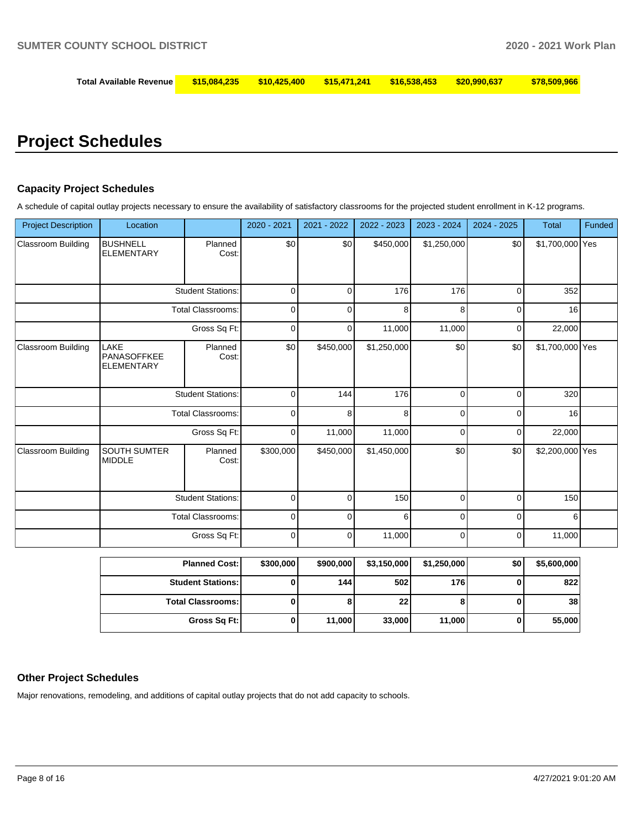| Total Available Revenue   \$15,084,235   \$10,425,400   \$15,471,241   \$16,538,453   \$20,990,637 |  |  | \$78,509,966 |
|----------------------------------------------------------------------------------------------------|--|--|--------------|
|                                                                                                    |  |  |              |

# **Project Schedules**

#### **Capacity Project Schedules**

A schedule of capital outlay projects necessary to ensure the availability of satisfactory classrooms for the projected student enrollment in K-12 programs.

| <b>Project Description</b> | Location                                 |                          | 2020 - 2021 | 2021 - 2022 | 2022 - 2023 | 2023 - 2024 | 2024 - 2025 | <b>Total</b>    | Funded |
|----------------------------|------------------------------------------|--------------------------|-------------|-------------|-------------|-------------|-------------|-----------------|--------|
| Classroom Building         | <b>BUSHNELL</b><br><b>ELEMENTARY</b>     | Planned<br>Cost:         | \$0         | \$0         | \$450,000   | \$1,250,000 | \$0         | \$1,700,000 Yes |        |
|                            |                                          | <b>Student Stations:</b> | $\mathbf 0$ | 0           | 176         | 176         | $\mathbf 0$ | 352             |        |
|                            |                                          | <b>Total Classrooms:</b> | $\mathbf 0$ | $\Omega$    | 8           | 8           | $\mathbf 0$ | 16              |        |
|                            |                                          | Gross Sq Ft:             | $\mathbf 0$ | 0           | 11,000      | 11,000      | 0           | 22,000          |        |
| <b>Classroom Building</b>  | LAKE<br>PANASOFFKEE<br><b>ELEMENTARY</b> | Planned<br>Cost:         | \$0         | \$450,000   | \$1,250,000 | \$0         | \$0         | \$1,700,000 Yes |        |
|                            | <b>Student Stations:</b>                 |                          | $\Omega$    | 144         | 176         | $\Omega$    | $\Omega$    | 320             |        |
|                            |                                          | <b>Total Classrooms:</b> | 0           | 8           | 8           | $\Omega$    | $\Omega$    | 16              |        |
|                            |                                          | Gross Sq Ft:             | 0           | 11,000      | 11,000      | 0           | 0           | 22,000          |        |
| <b>Classroom Building</b>  | <b>SOUTH SUMTER</b><br><b>MIDDLE</b>     | Planned<br>Cost:         | \$300,000   | \$450,000   | \$1,450,000 | \$0         | \$0         | \$2,200,000 Yes |        |
|                            |                                          | <b>Student Stations:</b> | $\Omega$    | $\Omega$    | 150         | $\Omega$    | $\Omega$    | 150             |        |
|                            |                                          | <b>Total Classrooms:</b> | $\mathbf 0$ | $\Omega$    | 6           | $\Omega$    | $\Omega$    | 6               |        |
|                            |                                          | Gross Sq Ft:             | $\mathbf 0$ | $\mathbf 0$ | 11,000      | $\mathbf 0$ | $\mathbf 0$ | 11,000          |        |

| <b>Planned Cost:</b>     | \$300,000 | \$900,000 | \$3,150,000 | \$1,250,000 | \$0 | \$5,600,000 |
|--------------------------|-----------|-----------|-------------|-------------|-----|-------------|
| <b>Student Stations:</b> |           | 144 l     | 502         | 176         |     | 822         |
| <b>Total Classrooms:</b> |           | Õ         | 22          | o           |     | 38          |
| Gross Sq Ft:             |           | 11,000    | 33,000      | 11,000      |     | 55,000      |

#### **Other Project Schedules**

Major renovations, remodeling, and additions of capital outlay projects that do not add capacity to schools.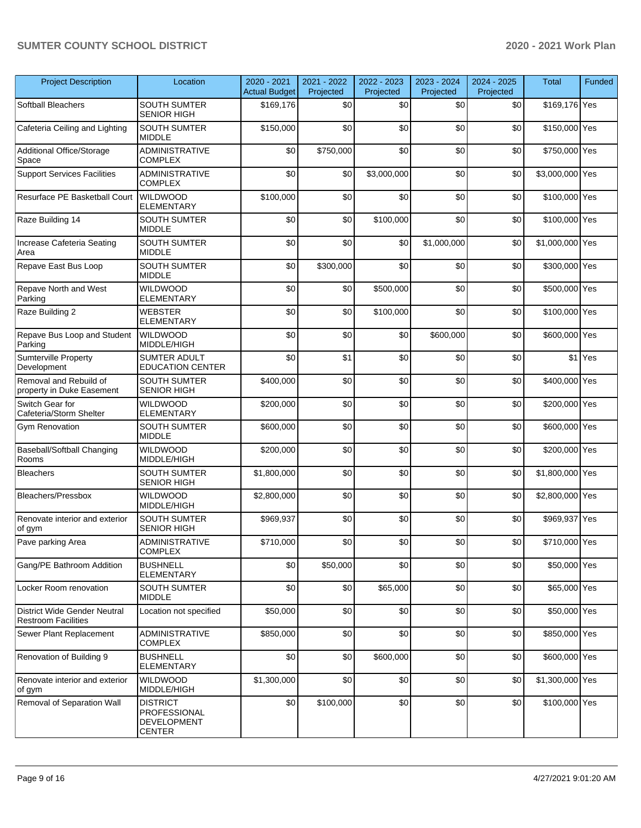# **SUMTER COUNTY SCHOOL DISTRICT 2020 - 2021 Work Plan**

| <b>Project Description</b>                                        | Location                                                               | 2020 - 2021<br><b>Actual Budget</b> | 2021 - 2022<br>Projected | 2022 - 2023<br>Projected | 2023 - 2024<br>Projected | 2024 - 2025<br>Projected | <b>Total</b>    | Funded  |
|-------------------------------------------------------------------|------------------------------------------------------------------------|-------------------------------------|--------------------------|--------------------------|--------------------------|--------------------------|-----------------|---------|
| Softball Bleachers                                                | <b>SOUTH SUMTER</b><br><b>SENIOR HIGH</b>                              | \$169,176                           | \$0                      | \$0                      | \$0                      | \$0                      | \$169,176 Yes   |         |
| Cafeteria Ceiling and Lighting                                    | <b>SOUTH SUMTER</b><br><b>MIDDLE</b>                                   | \$150,000                           | \$0                      | \$0                      | \$0                      | \$0                      | \$150,000 Yes   |         |
| Additional Office/Storage<br>Space                                | <b>ADMINISTRATIVE</b><br><b>COMPLEX</b>                                | \$0                                 | \$750,000                | \$0                      | \$0                      | \$0                      | \$750,000 Yes   |         |
| <b>Support Services Facilities</b>                                | ADMINISTRATIVE<br><b>COMPLEX</b>                                       | \$0                                 | \$0                      | \$3,000,000              | \$0                      | \$0                      | \$3,000,000 Yes |         |
| Resurface PE Basketball Court                                     | <b>WILDWOOD</b><br><b>ELEMENTARY</b>                                   | \$100,000                           | \$0                      | \$0                      | \$0                      | \$0                      | \$100,000 Yes   |         |
| Raze Building 14                                                  | <b>SOUTH SUMTER</b><br><b>MIDDLE</b>                                   | \$0                                 | \$0                      | \$100,000                | \$0                      | \$0                      | \$100,000 Yes   |         |
| Increase Cafeteria Seating<br>Area                                | <b>SOUTH SUMTER</b><br><b>MIDDLE</b>                                   | \$0                                 | \$0                      | \$0                      | \$1,000,000              | \$0                      | \$1,000,000 Yes |         |
| Repave East Bus Loop                                              | <b>SOUTH SUMTER</b><br><b>MIDDLE</b>                                   | \$0                                 | \$300,000                | \$0                      | \$0                      | \$0                      | \$300,000 Yes   |         |
| Repave North and West<br>Parking                                  | <b>WILDWOOD</b><br><b>ELEMENTARY</b>                                   | \$0                                 | \$0                      | \$500.000                | \$0                      | \$0                      | \$500,000 Yes   |         |
| Raze Building 2                                                   | <b>WEBSTER</b><br><b>ELEMENTARY</b>                                    | \$0                                 | \$0                      | \$100,000                | \$0                      | \$0                      | \$100,000 Yes   |         |
| Repave Bus Loop and Student<br>Parking                            | <b>WILDWOOD</b><br>MIDDLE/HIGH                                         | \$0                                 | \$0                      | \$0                      | \$600,000                | \$0                      | \$600,000 Yes   |         |
| <b>Sumterville Property</b><br>Development                        | <b>SUMTER ADULT</b><br><b>EDUCATION CENTER</b>                         | \$0                                 | \$1                      | \$0                      | \$0                      | \$0                      |                 | \$1 Yes |
| Removal and Rebuild of<br>property in Duke Easement               | <b>SOUTH SUMTER</b><br><b>SENIOR HIGH</b>                              | \$400,000                           | \$0                      | \$0                      | \$0                      | \$0                      | \$400,000 Yes   |         |
| Switch Gear for<br>Cafeteria/Storm Shelter                        | <b>WILDWOOD</b><br><b>ELEMENTARY</b>                                   | \$200,000                           | \$0                      | \$0                      | \$0                      | \$0                      | \$200,000 Yes   |         |
| <b>Gym Renovation</b>                                             | <b>SOUTH SUMTER</b><br><b>MIDDLE</b>                                   | \$600,000                           | \$0                      | \$0                      | \$0                      | \$0                      | \$600,000 Yes   |         |
| Baseball/Softball Changing<br>Rooms                               | <b>WILDWOOD</b><br>MIDDLE/HIGH                                         | \$200,000                           | \$0                      | \$0                      | \$0                      | \$0                      | \$200,000 Yes   |         |
| <b>Bleachers</b>                                                  | SOUTH SUMTER<br><b>SENIOR HIGH</b>                                     | \$1,800,000                         | \$0                      | \$0                      | \$0                      | \$0                      | \$1,800,000 Yes |         |
| Bleachers/Pressbox                                                | <b>WILDWOOD</b><br>MIDDLE/HIGH                                         | \$2,800,000                         | \$0                      | \$0                      | \$0                      | \$0                      | \$2,800,000 Yes |         |
| Renovate interior and exterior<br>of gym                          | <b>SOUTH SUMTER</b><br>SENIOR HIGH                                     | \$969,937                           | \$0                      | \$0                      | \$0                      | \$0                      | \$969,937 Yes   |         |
| Pave parking Area                                                 | ADMINISTRATIVE<br><b>COMPLEX</b>                                       | \$710,000                           | \$0                      | \$0                      | \$0                      | $$0\,$                   | \$710,000 Yes   |         |
| Gang/PE Bathroom Addition                                         | <b>BUSHNELL</b><br><b>ELEMENTARY</b>                                   | \$0                                 | \$50,000                 | \$0                      | \$0                      | \$0                      | \$50,000 Yes    |         |
| Locker Room renovation                                            | SOUTH SUMTER<br><b>MIDDLE</b>                                          | \$0                                 | \$0                      | \$65,000                 | \$0                      | \$0                      | \$65,000 Yes    |         |
| <b>District Wide Gender Neutral</b><br><b>Restroom Facilities</b> | Location not specified                                                 | \$50,000                            | \$0                      | \$0                      | \$0                      | \$0                      | \$50,000 Yes    |         |
| Sewer Plant Replacement                                           | ADMINISTRATIVE<br><b>COMPLEX</b>                                       | \$850,000                           | \$0                      | \$0                      | \$0                      | \$0                      | \$850,000 Yes   |         |
| Renovation of Building 9                                          | <b>BUSHNELL</b><br><b>ELEMENTARY</b>                                   | \$0                                 | \$0                      | \$600,000                | \$0                      | \$0                      | \$600,000 Yes   |         |
| Renovate interior and exterior<br>of gym                          | WILDWOOD<br>MIDDLE/HIGH                                                | \$1,300,000                         | \$0                      | \$0                      | \$0                      | \$0                      | \$1,300,000 Yes |         |
| Removal of Separation Wall                                        | <b>DISTRICT</b><br>PROFESSIONAL<br><b>DEVELOPMENT</b><br><b>CENTER</b> | \$0                                 | \$100,000                | \$0                      | \$0                      | \$0                      | \$100,000 Yes   |         |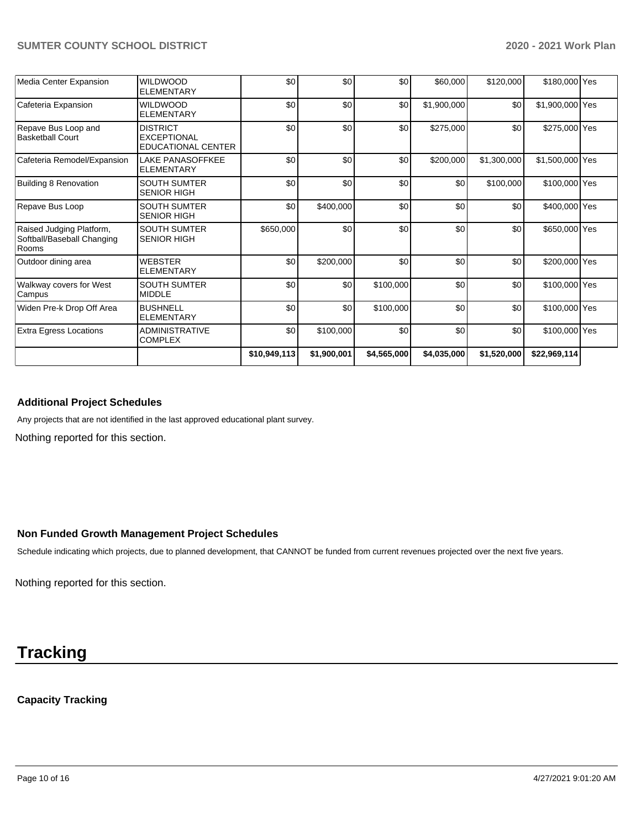| Media Center Expansion                                          | <b>WILDWOOD</b><br><b>ELEMENTARY</b>                        | \$0          | \$0         | \$0         | \$60,000    | \$120,000   | \$180,000 Yes   |  |
|-----------------------------------------------------------------|-------------------------------------------------------------|--------------|-------------|-------------|-------------|-------------|-----------------|--|
| Cafeteria Expansion                                             | <b>WILDWOOD</b><br><b>ELEMENTARY</b>                        | \$0          | \$0         | \$0         | \$1,900,000 | \$0         | \$1,900,000 Yes |  |
| Repave Bus Loop and<br><b>Basketball Court</b>                  | <b>DISTRICT</b><br><b>EXCEPTIONAL</b><br>EDUCATIONAL CENTER | \$0          | \$0         | \$0         | \$275,000   | \$0         | \$275,000 Yes   |  |
| Cafeteria Remodel/Expansion                                     | LAKE PANASOFFKEE<br><b>ELEMENTARY</b>                       | \$0          | \$0         | \$0         | \$200,000   | \$1,300,000 | \$1,500,000 Yes |  |
| Building 8 Renovation                                           | <b>SOUTH SUMTER</b><br><b>SENIOR HIGH</b>                   | \$0          | \$0         | \$0         | \$0         | \$100,000   | \$100,000 Yes   |  |
| Repave Bus Loop                                                 | <b>SOUTH SUMTER</b><br><b>SENIOR HIGH</b>                   | \$0          | \$400,000   | \$0         | \$0         | \$0         | \$400,000 Yes   |  |
| Raised Judging Platform,<br>Softball/Baseball Changing<br>Rooms | <b>SOUTH SUMTER</b><br><b>SENIOR HIGH</b>                   | \$650,000    | \$0         | \$0         | \$0         | \$0         | \$650,000 Yes   |  |
| Outdoor dining area                                             | <b>WEBSTER</b><br><b>ELEMENTARY</b>                         | \$0          | \$200,000   | \$0         | \$0         | \$0         | \$200,000 Yes   |  |
| Walkway covers for West<br>Campus                               | <b>SOUTH SUMTER</b><br><b>MIDDLE</b>                        | \$0          | \$0         | \$100,000   | \$0         | \$0         | \$100,000 Yes   |  |
| Widen Pre-k Drop Off Area                                       | <b>BUSHNELL</b><br><b>ELEMENTARY</b>                        | \$0          | \$0         | \$100,000   | \$0         | \$0         | \$100,000 Yes   |  |
| <b>Extra Egress Locations</b>                                   | <b>ADMINISTRATIVE</b><br><b>COMPLEX</b>                     | \$0          | \$100,000   | \$0         | \$0         | \$0         | \$100,000 Yes   |  |
|                                                                 |                                                             | \$10,949,113 | \$1,900,001 | \$4,565,000 | \$4,035,000 | \$1,520,000 | \$22,969,114    |  |

# **Additional Project Schedules**

Any projects that are not identified in the last approved educational plant survey.

Nothing reported for this section.

# **Non Funded Growth Management Project Schedules**

Schedule indicating which projects, due to planned development, that CANNOT be funded from current revenues projected over the next five years.

Nothing reported for this section.

# **Tracking**

### **Capacity Tracking**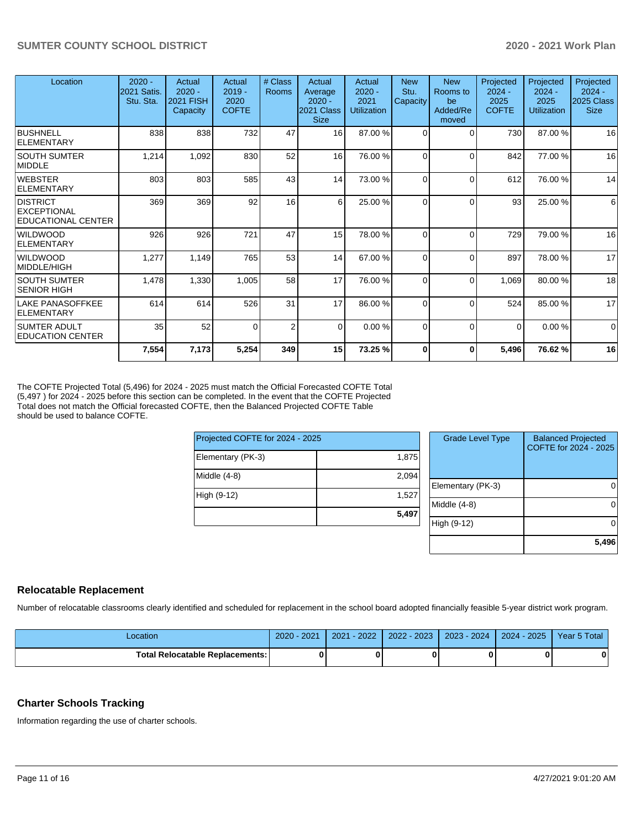| Location                                                    | $2020 -$<br><b>2021 Satis.</b><br>Stu. Sta. | Actual<br>$2020 -$<br><b>2021 FISH</b><br>Capacity | Actual<br>$2019 -$<br>2020<br><b>COFTE</b> | # Class<br>Rooms | Actual<br>Average<br>$2020 -$<br>2021 Class<br><b>Size</b> | Actual<br>$2020 -$<br>2021<br><b>Utilization</b> | <b>New</b><br>Stu.<br>Capacity | <b>New</b><br>Rooms to<br>be<br>Added/Re<br>moved | Projected<br>$2024 -$<br>2025<br><b>COFTE</b> | Projected<br>$2024 -$<br>2025<br>Utilization | Projected<br>$2024 -$<br>2025 Class<br><b>Size</b> |
|-------------------------------------------------------------|---------------------------------------------|----------------------------------------------------|--------------------------------------------|------------------|------------------------------------------------------------|--------------------------------------------------|--------------------------------|---------------------------------------------------|-----------------------------------------------|----------------------------------------------|----------------------------------------------------|
| <b>BUSHNELL</b><br>ELEMENTARY                               | 838                                         | 838                                                | 732                                        | 47               | 16 <sup>1</sup>                                            | 87.00 %                                          | $\Omega$                       | $\Omega$                                          | 730                                           | 87.00 %                                      | 16                                                 |
| <b>SOUTH SUMTER</b><br>MIDDLE                               | 1,214                                       | 1,092                                              | 830                                        | 52               | 16                                                         | 76.00 %                                          | $\Omega$                       | $\Omega$                                          | 842                                           | 77.00 %                                      | 16                                                 |
| <b>WEBSTER</b><br>ELEMENTARY                                | 803                                         | 803                                                | 585                                        | 43               | 14                                                         | 73.00 %                                          | $\Omega$                       | $\Omega$                                          | 612                                           | 76.00 %                                      | 14                                                 |
| <b>DISTRICT</b><br><b>EXCEPTIONAL</b><br>EDUCATIONAL CENTER | 369                                         | 369                                                | 92                                         | 16               | 6                                                          | 25.00 %                                          | $\Omega$                       | $\Omega$                                          | 93                                            | 25.00 %                                      | $6 \overline{6}$                                   |
| <b>WILDWOOD</b><br><b>ELEMENTARY</b>                        | 926                                         | 926                                                | 721                                        | 47               | 15                                                         | 78.00 %                                          | $\Omega$                       | $\Omega$                                          | 729                                           | 79.00 %                                      | 16                                                 |
| <b>WILDWOOD</b><br> MIDDLE/HIGH                             | 1,277                                       | 1,149                                              | 765                                        | 53               | 14                                                         | 67.00 %                                          | $\Omega$                       | $\Omega$                                          | 897                                           | 78.00 %                                      | 17                                                 |
| <b>SOUTH SUMTER</b><br> SENIOR HIGH                         | 1,478                                       | 1,330                                              | 1,005                                      | 58               | 17                                                         | 76.00 %                                          | $\Omega$                       | $\Omega$                                          | 1,069                                         | 80.00 %                                      | 18                                                 |
| LAKE PANASOFFKEE<br>ELEMENTARY                              | 614                                         | 614                                                | 526                                        | 31               | 17                                                         | 86.00 %                                          | $\Omega$                       | $\Omega$                                          | 524                                           | 85.00 %                                      | 17                                                 |
| <b>SUMTER ADULT</b><br><b>EDUCATION CENTER</b>              | 35                                          | 52                                                 | $\Omega$                                   | $\overline{2}$   | $\Omega$                                                   | 0.00%                                            | $\Omega$                       | $\Omega$                                          | $\Omega$                                      | 0.00%                                        | $\Omega$                                           |
|                                                             | 7,554                                       | 7,173                                              | 5,254                                      | 349              | 15                                                         | 73.25 %                                          | $\bf{0}$                       | 0                                                 | 5,496                                         | 76.62%                                       | 16                                                 |

The COFTE Projected Total (5,496) for 2024 - 2025 must match the Official Forecasted COFTE Total (5,497 ) for 2024 - 2025 before this section can be completed. In the event that the COFTE Projected Total does not match the Official forecasted COFTE, then the Balanced Projected COFTE Table should be used to balance COFTE.

| Projected COFTE for 2024 - 2025 |       |       |  |  |
|---------------------------------|-------|-------|--|--|
| Elementary (PK-3)               | 1,875 |       |  |  |
| Middle (4-8)                    | 2,094 | Elem  |  |  |
| High (9-12)                     | 1,527 | Middl |  |  |
|                                 | 5,497 |       |  |  |
|                                 |       | High  |  |  |

| <b>Grade Level Type</b> | <b>Balanced Projected</b><br>COFTE for 2024 - 2025 |
|-------------------------|----------------------------------------------------|
| Elementary (PK-3)       |                                                    |
| Middle (4-8)            |                                                    |
| High (9-12)             |                                                    |
|                         | 5,496                                              |

# **Relocatable Replacement**

Number of relocatable classrooms clearly identified and scheduled for replacement in the school board adopted financially feasible 5-year district work program.

| ∟ocation                                 | 202 <sup>2</sup><br>2020 | 2022<br>2021 | $-2023$<br>2022 | $2023 - 2024$ | 2025<br>$2024 -$ | 5 Total<br>Year, |
|------------------------------------------|--------------------------|--------------|-----------------|---------------|------------------|------------------|
| <b>Total Relocatable Replacements: I</b> |                          |              |                 |               |                  | n                |

# **Charter Schools Tracking**

Information regarding the use of charter schools.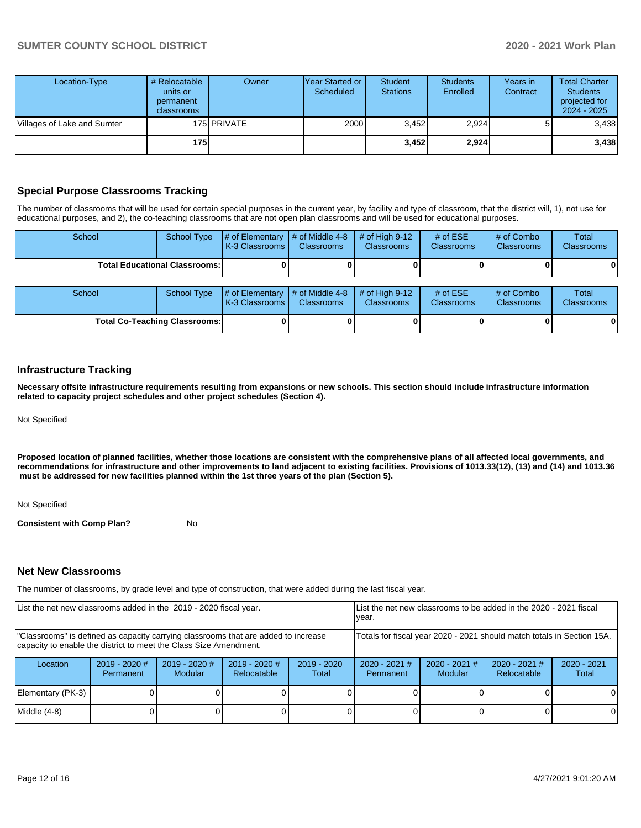| Location-Type               | # Relocatable<br>units or<br>permanent<br><b>classrooms</b> | Owner       | <b>Year Started or I</b><br>Scheduled | <b>Student</b><br><b>Stations</b> | <b>Students</b><br>Enrolled | Years in<br>Contract | <b>Total Charter</b><br><b>Students</b><br>projected for<br>$2024 - 2025$ |
|-----------------------------|-------------------------------------------------------------|-------------|---------------------------------------|-----------------------------------|-----------------------------|----------------------|---------------------------------------------------------------------------|
| Villages of Lake and Sumter |                                                             | 175 PRIVATE | 2000                                  | 3,452                             | 2,924                       |                      | 3,438                                                                     |
|                             | 175                                                         |             |                                       | 3.452                             | 2,924                       |                      | 3,438                                                                     |

# **Special Purpose Classrooms Tracking**

The number of classrooms that will be used for certain special purposes in the current year, by facility and type of classroom, that the district will, 1), not use for educational purposes, and 2), the co-teaching classrooms that are not open plan classrooms and will be used for educational purposes.

| School                               | School Type | # of Elementary<br>K-3 Classrooms                           | $\#$ of Middle 4-8<br><b>Classrooms</b> | $#$ of High 9-12<br><b>Classrooms</b> | # of $ESE$<br><b>Classrooms</b> | # of Combo<br><b>Classrooms</b> | Total<br><b>Classrooms</b> |
|--------------------------------------|-------------|-------------------------------------------------------------|-----------------------------------------|---------------------------------------|---------------------------------|---------------------------------|----------------------------|
| <b>Total Educational Classrooms:</b> |             |                                                             |                                         |                                       |                                 |                                 | 0                          |
|                                      |             |                                                             |                                         |                                       |                                 |                                 |                            |
| School                               | School Type | # of Elementary $\vert$ # of Middle 4-8<br>K-3 Classrooms I | <b>Classrooms</b>                       | $#$ of High 9-12<br><b>Classrooms</b> | # of $ESE$<br><b>Classrooms</b> | # of Combo<br><b>Classrooms</b> | Total<br><b>Classrooms</b> |

**Total Co-Teaching Classrooms: 0 0 0 0 0 0**

### **Infrastructure Tracking**

**Necessary offsite infrastructure requirements resulting from expansions or new schools. This section should include infrastructure information related to capacity project schedules and other project schedules (Section 4).** 

Not Specified

**Proposed location of planned facilities, whether those locations are consistent with the comprehensive plans of all affected local governments, and recommendations for infrastructure and other improvements to land adjacent to existing facilities. Provisions of 1013.33(12), (13) and (14) and 1013.36** must be addressed for new facilities planned within the 1st three years of the plan (Section 5).

#### Not Specified

**Consistent with Comp Plan?** No

#### **Net New Classrooms**

The number of classrooms, by grade level and type of construction, that were added during the last fiscal year.

| List the net new classrooms added in the 2019 - 2020 fiscal year.                                                                                       | year.                        | List the net new classrooms to be added in the 2020 - 2021 fiscal |                                       |                        |                              |                                                                        |                                |                        |
|---------------------------------------------------------------------------------------------------------------------------------------------------------|------------------------------|-------------------------------------------------------------------|---------------------------------------|------------------------|------------------------------|------------------------------------------------------------------------|--------------------------------|------------------------|
| "Classrooms" is defined as capacity carrying classrooms that are added to increase<br>capacity to enable the district to meet the Class Size Amendment. |                              |                                                                   |                                       |                        |                              | Totals for fiscal year 2020 - 2021 should match totals in Section 15A. |                                |                        |
| Location                                                                                                                                                | $2019 - 2020$ #<br>Permanent | $2019 - 2020$ #<br><b>Modular</b>                                 | $2019 - 2020$ #<br><b>Relocatable</b> | $2019 - 2020$<br>Total | $2020 - 2021$ #<br>Permanent | $2020 - 2021$ #<br><b>Modular</b>                                      | $2020 - 2021$ #<br>Relocatable | $2020 - 2021$<br>Total |
| Elementary (PK-3)                                                                                                                                       |                              |                                                                   |                                       |                        |                              |                                                                        |                                |                        |
| Middle (4-8)                                                                                                                                            |                              |                                                                   |                                       |                        |                              |                                                                        |                                | 0                      |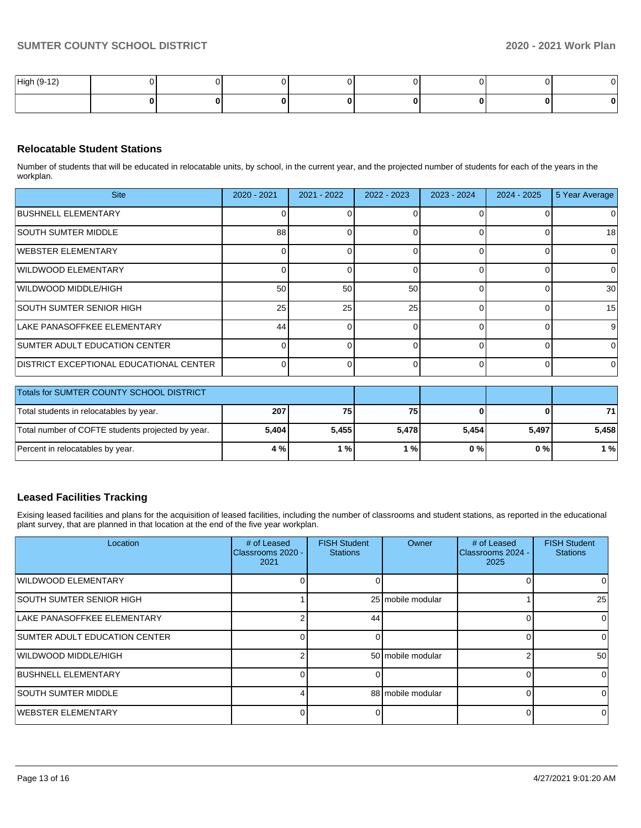| High (9-1<br>$\overline{A}$ |  |  |  |  |
|-----------------------------|--|--|--|--|
|                             |  |  |  |  |

### **Relocatable Student Stations**

Number of students that will be educated in relocatable units, by school, in the current year, and the projected number of students for each of the years in the workplan.

| <b>Site</b>                                     | $2020 - 2021$   | $2021 - 2022$ | 2022 - 2023 | $2023 - 2024$ | $2024 - 2025$ | 5 Year Average  |
|-------------------------------------------------|-----------------|---------------|-------------|---------------|---------------|-----------------|
| <b>BUSHNELL ELEMENTARY</b>                      |                 |               |             |               |               | O               |
| <b>SOUTH SUMTER MIDDLE</b>                      | 88              |               |             |               |               | 18              |
| IWEBSTER ELEMENTARY                             |                 |               |             |               |               |                 |
| WILDWOOD ELEMENTARY                             |                 |               |             |               |               |                 |
| WILDWOOD MIDDLE/HIGH                            | 50 <sub>1</sub> | 50            | 50          |               |               | 30 <sup>1</sup> |
| <b>SOUTH SUMTER SENIOR HIGH</b>                 | 25              | 25            | 25          |               |               | 15              |
| LAKE PANASOFFKEE ELEMENTARY                     | 44              |               |             |               |               | 9               |
| <b>SUMTER ADULT EDUCATION CENTER</b>            |                 |               |             |               |               |                 |
| <b>IDISTRICT EXCEPTIONAL EDUCATIONAL CENTER</b> |                 |               |             |               |               | <sup>0</sup>    |

| <b>Totals for SUMTER COUNTY SCHOOL DISTRICT</b>   |       |       |       |       |       |       |
|---------------------------------------------------|-------|-------|-------|-------|-------|-------|
| Total students in relocatables by year.           | 207   | 75 I  | 75    |       |       | 71    |
| Total number of COFTE students projected by year. | 5.404 | 5.455 | 5.478 | 5.454 | 5.497 | 5.458 |
| Percent in relocatables by year.                  | 4 %   | 1%    | %     | 0 % I | 0 % I | 1 %   |

# **Leased Facilities Tracking**

Exising leased facilities and plans for the acquisition of leased facilities, including the number of classrooms and student stations, as reported in the educational plant survey, that are planned in that location at the end of the five year workplan.

| Location                             | # of Leased<br>Classrooms 2020 -<br>2021 | <b>FISH Student</b><br><b>Stations</b> | Owner             | # of Leased<br>Classrooms 2024 -<br>2025 | <b>FISH Student</b><br><b>Stations</b> |
|--------------------------------------|------------------------------------------|----------------------------------------|-------------------|------------------------------------------|----------------------------------------|
| WILDWOOD ELEMENTARY                  |                                          |                                        |                   |                                          | 0                                      |
| <b>SOUTH SUMTER SENIOR HIGH</b>      |                                          |                                        | 25 mobile modular |                                          | 25                                     |
| LAKE PANASOFFKEE ELEMENTARY          | ີ                                        | 44                                     |                   | 0                                        | 0                                      |
| <b>SUMTER ADULT EDUCATION CENTER</b> |                                          |                                        |                   | 0                                        | 0                                      |
| WILDWOOD MIDDLE/HIGH                 |                                          |                                        | 50 mobile modular | າ                                        | 50                                     |
| <b>BUSHNELL ELEMENTARY</b>           | U                                        |                                        |                   | $\Omega$                                 | <sup>0</sup>                           |
| <b>SOUTH SUMTER MIDDLE</b>           |                                          |                                        | 88 mobile modular | $\Omega$                                 |                                        |
| WEBSTER ELEMENTARY                   | ∩                                        |                                        |                   | O                                        | 0                                      |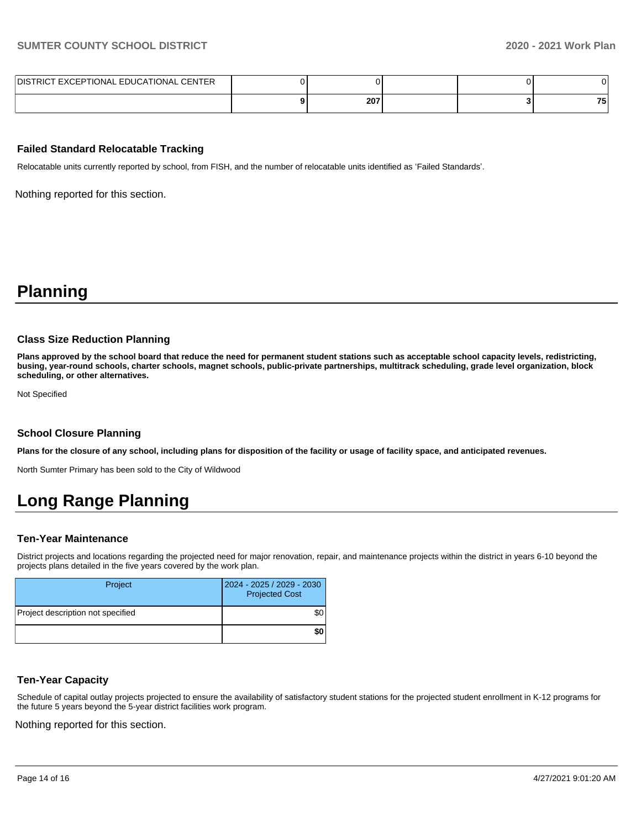| DISTRICT EXCEPTIONAL EDUCATIONAL CENTER |     |  |           |
|-----------------------------------------|-----|--|-----------|
|                                         | 207 |  | 75<br>. . |

### **Failed Standard Relocatable Tracking**

Relocatable units currently reported by school, from FISH, and the number of relocatable units identified as 'Failed Standards'.

Nothing reported for this section.

# **Planning**

#### **Class Size Reduction Planning**

**Plans approved by the school board that reduce the need for permanent student stations such as acceptable school capacity levels, redistricting, busing, year-round schools, charter schools, magnet schools, public-private partnerships, multitrack scheduling, grade level organization, block scheduling, or other alternatives.**

Not Specified

#### **School Closure Planning**

**Plans for the closure of any school, including plans for disposition of the facility or usage of facility space, and anticipated revenues.** 

North Sumter Primary has been sold to the City of Wildwood

# **Long Range Planning**

#### **Ten-Year Maintenance**

District projects and locations regarding the projected need for major renovation, repair, and maintenance projects within the district in years 6-10 beyond the projects plans detailed in the five years covered by the work plan.

| Project                           | 2024 - 2025 / 2029 - 2030<br><b>Projected Cost</b> |
|-----------------------------------|----------------------------------------------------|
| Project description not specified | \$0                                                |
|                                   | \$0                                                |

#### **Ten-Year Capacity**

Schedule of capital outlay projects projected to ensure the availability of satisfactory student stations for the projected student enrollment in K-12 programs for the future 5 years beyond the 5-year district facilities work program.

Nothing reported for this section.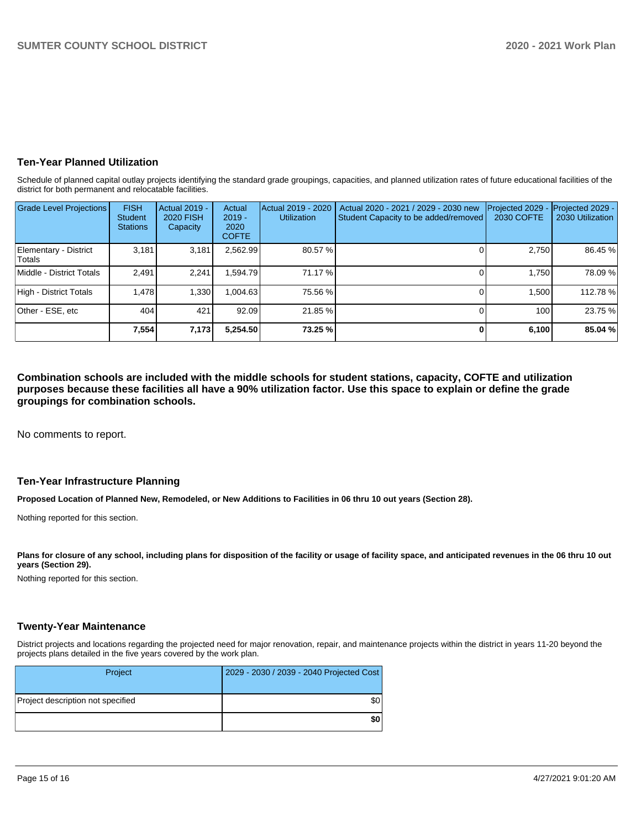# **Ten-Year Planned Utilization**

Schedule of planned capital outlay projects identifying the standard grade groupings, capacities, and planned utilization rates of future educational facilities of the district for both permanent and relocatable facilities.

| <b>Grade Level Projections</b>         | <b>FISH</b><br>Student<br><b>Stations</b> | Actual 2019 -<br>2020 FISH<br>Capacity | Actual<br>$2019 -$<br>2020<br><b>COFTE</b> | Actual 2019 - 2020<br>Utilization | Actual 2020 - 2021 / 2029 - 2030 new<br>Student Capacity to be added/removed | Projected 2029<br>2030 COFTE | Projected 2029 -<br>2030 Utilization |
|----------------------------------------|-------------------------------------------|----------------------------------------|--------------------------------------------|-----------------------------------|------------------------------------------------------------------------------|------------------------------|--------------------------------------|
| Elementary - District<br><b>Totals</b> | 3,181                                     | 3,181                                  | 2,562.99                                   | 80.57 %                           |                                                                              | 2,750                        | 86.45 %                              |
| Middle - District Totals               | 2.491                                     | 2.241                                  | .594.79                                    | 71.17 %                           |                                                                              | 1.750                        | 78.09%                               |
| High - District Totals                 | 1.478                                     | 1,330                                  | 1,004.63                                   | 75.56 %                           |                                                                              | 1.500                        | 112.78%                              |
| Other - ESE, etc                       | 404                                       | 421                                    | 92.09                                      | 21.85 %                           |                                                                              | 100                          | 23.75 %                              |
|                                        | 7,554                                     | 7,173                                  | 5.254.50                                   | 73.25 %                           |                                                                              | 6,100                        | 85.04 %                              |

**Combination schools are included with the middle schools for student stations, capacity, COFTE and utilization purposes because these facilities all have a 90% utilization factor. Use this space to explain or define the grade groupings for combination schools.** 

No comments to report.

# **Ten-Year Infrastructure Planning**

**Proposed Location of Planned New, Remodeled, or New Additions to Facilities in 06 thru 10 out years (Section 28).**

Nothing reported for this section.

Plans for closure of any school, including plans for disposition of the facility or usage of facility space, and anticipated revenues in the 06 thru 10 out **years (Section 29).**

Nothing reported for this section.

### **Twenty-Year Maintenance**

District projects and locations regarding the projected need for major renovation, repair, and maintenance projects within the district in years 11-20 beyond the projects plans detailed in the five years covered by the work plan.

| Project                           | 2029 - 2030 / 2039 - 2040 Projected Cost |
|-----------------------------------|------------------------------------------|
| Project description not specified | \$0                                      |
|                                   | \$0                                      |